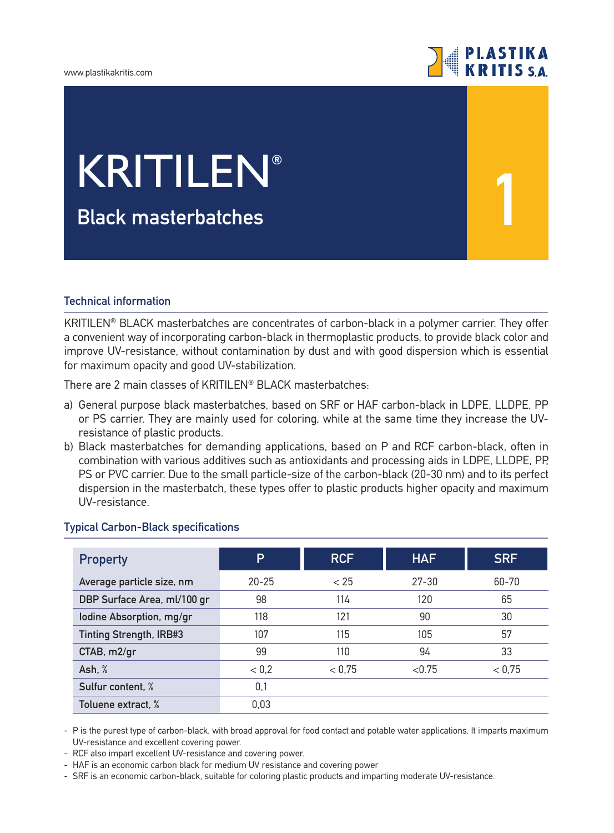#### www.plastikakritis.com



**1**

# **Black masterbatches** KRITILEN**®**

### **Technical information**

KRITILEN® BLACK masterbatches are concentrates of carbon-black in a polymer carrier. They offer a convenient way of incorporating carbon-black in thermoplastic products, to provide black color and improve UV-resistance, without contamination by dust and with good dispersion which is essential for maximum opacity and good UV-stabilization.

There are 2 main classes of KRITILEN® BLACK masterbatches:

- a) General purpose black masterbatches, based on SRF or HAF carbon-black in LDPE, LLDPE, PP or PS carrier. They are mainly used for coloring, while at the same time they increase the UVresistance of plastic products.
- b) Black masterbatches for demanding applications, based on P and RCF carbon-black, often in combination with various additives such as antioxidants and processing aids in LDPE, LLDPE, PP, PS or PVC carrier. Due to the small particle-size of the carbon-black (20-30 nm) and to its perfect dispersion in the masterbatch, these types offer to plastic products higher opacity and maximum UV-resistance.

| <b>Property</b>             | Þ         | <b>RCF</b> | <b>HAF</b> | <b>SRF</b> |  |
|-----------------------------|-----------|------------|------------|------------|--|
| Average particle size, nm   | $20 - 25$ | < 25       | $27 - 30$  | 60-70      |  |
| DBP Surface Area, ml/100 gr | 98        | 114        | 120        | 65         |  |
| lodine Absorption, mg/gr    | 118       | 121        | 90         | 30         |  |
| Tinting Strength, IRB#3     | 107       | 115        | 105        | 57         |  |
| CTAB, m2/gr                 | 99        | 110        | 94         | 33         |  |
| Ash, $%$                    | < 0.2     | < 0.75     | < 0.75     | < 0.75     |  |
| Sulfur content, %           | 0,1       |            |            |            |  |
| Toluene extract. %          | 0,03      |            |            |            |  |

#### **Typical Carbon-Black specifications**

- P is the purest type of carbon-black, with broad approval for food contact and potable water applications. It imparts maximum UV-resistance and excellent covering power.

- RCF also impart excellent UV-resistance and covering power.

- HAF is an economic carbon black for medium UV resistance and covering power

- SRF is an economic carbon-black, suitable for coloring plastic products and imparting moderate UV-resistance.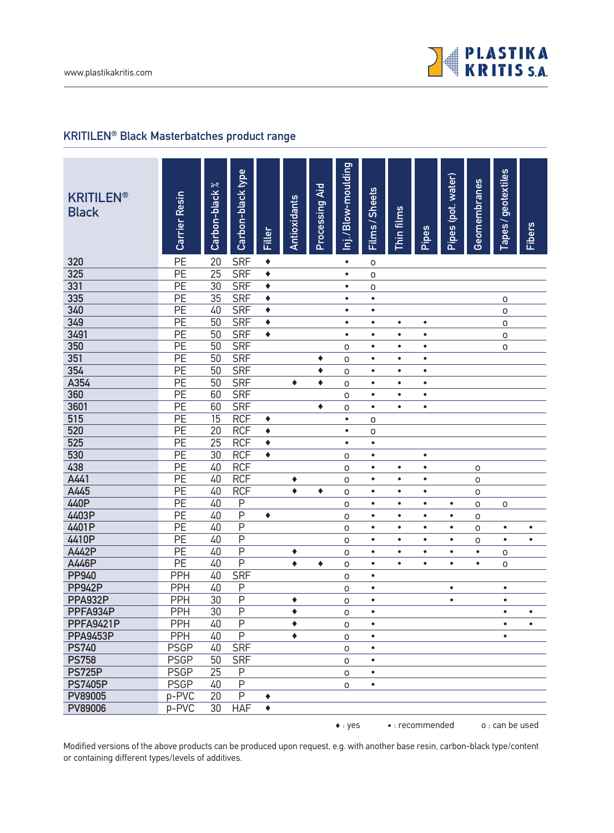

## **KRITILEN® Black Masterbatches product range**

| <b>KRITILEN®</b><br><b>Black</b> | Carrier Resin                      | $\approx$<br>Carbon-black | Carbon-black type        | Filler          | Antioxidants | Processing Aid | Inj./Blow-moulding  | Films / Sheets         | Thin films             | Pipes                  | Pipes (pot. water) | <b>Geomembranes</b> | Tapes / geotextiles | <b>Fibers</b> |
|----------------------------------|------------------------------------|---------------------------|--------------------------|-----------------|--------------|----------------|---------------------|------------------------|------------------------|------------------------|--------------------|---------------------|---------------------|---------------|
| 320                              | PE                                 | 20                        | <b>SRF</b>               | $\blacklozenge$ |              |                | $\bullet$           | O                      |                        |                        |                    |                     |                     |               |
| 325                              | PE                                 | $\overline{25}$           | <b>SRF</b>               | ٠               |              |                | $\bullet$           | 0                      |                        |                        |                    |                     |                     |               |
| 331                              | $\overline{PE}$                    | 30                        | <b>SRF</b>               | ٠               |              |                | $\bullet$           | 0                      |                        |                        |                    |                     |                     |               |
| 335                              | PE                                 | $\overline{35}$           | <b>SRF</b>               | ٠               |              |                | $\bullet$           | $\bullet$              |                        |                        |                    |                     | 0                   |               |
| 340                              | PE                                 | 40                        | <b>SRF</b>               | ٠               |              |                | $\bullet$           | $\bullet$              |                        |                        |                    |                     | $\mathsf O$         |               |
| 349                              | PE                                 | $\overline{50}$           | <b>SRF</b>               | ٠               |              |                | $\bullet$           | $\bullet$              | $\bullet$              | $\bullet$              |                    |                     | $\circ$             |               |
| 3491                             | $\overline{PE}$                    | $\overline{50}$           | <b>SRF</b>               | ٠               |              |                | $\bullet$           | $\bullet$              | $\bullet$              | $\bullet$              |                    |                     | $\circ$             |               |
| 350                              | $\overline{PE}$                    | $\overline{50}$           | <b>SRF</b>               |                 |              |                | O                   | $\bullet$              | $\bullet$              | $\bullet$              |                    |                     | $\mathsf{O}\xspace$ |               |
| 351                              | PE                                 | 50                        | <b>SRF</b>               |                 |              | ٠              | 0                   | $\bullet$              | $\bullet$              | $\bullet$              |                    |                     |                     |               |
| 354                              | PE                                 | 50                        | <b>SRF</b>               |                 |              | ٠              | 0                   | $\bullet$              | $\bullet$              | $\bullet$              |                    |                     |                     |               |
| A354                             | PE                                 | $\overline{50}$<br>60     | <b>SRF</b>               |                 | ٠            | ٠              | $\circ$             | $\bullet$              | $\bullet$              | $\bullet$              |                    |                     |                     |               |
| 360<br>3601                      | $\overline{PE}$<br>$\overline{PE}$ | 60                        | <b>SRF</b><br><b>SRF</b> |                 |              |                | O                   | $\bullet$<br>$\bullet$ | $\bullet$<br>$\bullet$ | $\bullet$<br>$\bullet$ |                    |                     |                     |               |
| 515                              | PE                                 | $\overline{15}$           | <b>RCF</b>               | ٠               |              | ٠              | 0<br>$\bullet$      |                        |                        |                        |                    |                     |                     |               |
| 520                              | PE                                 | $\overline{20}$           | <b>RCF</b>               | $\blacklozenge$ |              |                | $\bullet$           | 0                      |                        |                        |                    |                     |                     |               |
| 525                              | PE                                 | $\overline{25}$           | <b>RCF</b>               | ٠               |              |                | $\bullet$           | O<br>$\bullet$         |                        |                        |                    |                     |                     |               |
| 530                              | PE                                 | $\overline{30}$           | <b>RCF</b>               | ٠               |              |                | $\mathsf{O}\xspace$ | $\bullet$              |                        | $\bullet$              |                    |                     |                     |               |
| 438                              | PE                                 | 40                        | <b>RCF</b>               |                 |              |                | $\mathsf{O}\xspace$ | $\bullet$              | $\bullet$              | $\bullet$              |                    | $\mathsf O$         |                     |               |
| A441                             | PE                                 | 40                        | <b>RCF</b>               |                 | ٠            |                | $\mathsf O$         | $\bullet$              | $\bullet$              | $\bullet$              |                    | $\circ$             |                     |               |
| A445                             | PE                                 | 40                        | <b>RCF</b>               |                 | ۰            | ٠              | $\mathsf O$         | $\bullet$              | $\bullet$              | $\bullet$              |                    | $\mathsf O$         |                     |               |
| 440P                             | PE                                 | 40                        | $\sf P$                  |                 |              |                | $\circ$             | $\bullet$              | $\bullet$              | $\bullet$              | $\bullet$          | $\mathsf O$         | $\mathsf O$         |               |
| 4403P                            | PE                                 | 40                        | $\overline{P}$           | ٠               |              |                | $\mathsf O$         | $\bullet$              | $\bullet$              | $\bullet$              | $\bullet$          | 0                   |                     |               |
| 4401P                            | PE                                 | 40                        | $\overline{P}$           |                 |              |                | $\mathsf O$         | $\bullet$              | $\bullet$              | $\bullet$              | $\bullet$          | 0                   | $\bullet$           | $\bullet$     |
| 4410P                            | PE                                 | 40                        | $\overline{P}$           |                 |              |                | $\mathsf{O}\xspace$ | $\bullet$              | $\bullet$              | $\bullet$              | $\bullet$          | 0                   | $\bullet$           | $\bullet$     |
| A442P                            | PE                                 | 40                        | $\overline{P}$           |                 | ٠            |                | 0                   | $\bullet$              | $\bullet$              | $\bullet$              | $\bullet$          | $\bullet$           | $\mathsf O$         |               |
| A446P                            | $\overline{PE}$                    | 40                        | $\overline{P}$           |                 | $\bullet$    | ٠              | O                   | $\bullet$              | $\bullet$              | $\bullet$              | $\bullet$          | $\bullet$           | $\circ$             |               |
| <b>PP940</b>                     | PPH                                | $\overline{40}$           | <b>SRF</b>               |                 |              |                | O                   | $\bullet$              |                        |                        |                    |                     |                     |               |
| <b>PP942P</b>                    | <b>PPH</b>                         | 40                        | $\sf P$                  |                 |              |                | $\mathsf{O}\xspace$ | $\bullet$              |                        |                        | $\bullet$          |                     | $\bullet$           |               |
| <b>PPA932P</b>                   | <b>PPH</b>                         | 30                        | $\overline{P}$           |                 | ٠            |                | $\mathsf{O}\xspace$ | $\bullet$              |                        |                        | $\bullet$          |                     | $\bullet$           |               |
| PPFA934P                         | PPH                                | $\overline{30}$           | P                        |                 | ٠            |                | O                   | $\bullet$              |                        |                        |                    |                     | $\bullet$           | $\bullet$     |
| <b>PPFA9421P</b>                 | <b>PPH</b>                         | 40                        | P                        |                 | ٠            |                | 0                   | $\bullet$              |                        |                        |                    |                     | $\bullet$           | $\bullet$     |
| <b>PPA9453P</b>                  | PPH                                | 40                        | $\overline{P}$           |                 | ٠            |                | $\mathsf O$         |                        |                        |                        |                    |                     | $\bullet$           |               |
| <b>PS740</b>                     | <b>PSGP</b>                        | 40                        | <b>SRF</b>               |                 |              |                | $\mathsf O$         | $\bullet$              |                        |                        |                    |                     |                     |               |
| <b>PS758</b>                     | <b>PSGP</b>                        | 50                        | <b>SRF</b>               |                 |              |                | $\mathsf{O}\xspace$ | $\bullet$              |                        |                        |                    |                     |                     |               |
| <b>PS725P</b>                    | <b>PSGP</b>                        | 25                        | P                        |                 |              |                | 0                   | $\bullet$              |                        |                        |                    |                     |                     |               |
| <b>PS7405P</b>                   | <b>PSGP</b>                        | 40                        | $\overline{P}$           |                 |              |                | $\mathsf O$         | $\bullet$              |                        |                        |                    |                     |                     |               |
| PV89005                          | p-PVC                              | 20                        | P                        | ۰               |              |                |                     |                        |                        |                        |                    |                     |                     |               |
| PV89006                          | p-PVC                              | 30                        | <b>HAF</b>               | ٠               |              |                |                     |                        |                        |                        |                    |                     |                     |               |
|                                  |                                    |                           |                          |                 |              |                | $\bullet$ : yes     |                        |                        | • : recommended        |                    |                     | o : can be used     |               |

Modified versions of the above products can be produced upon request, e.g. with another base resin, carbon-black type/content or containing different types/levels of additives.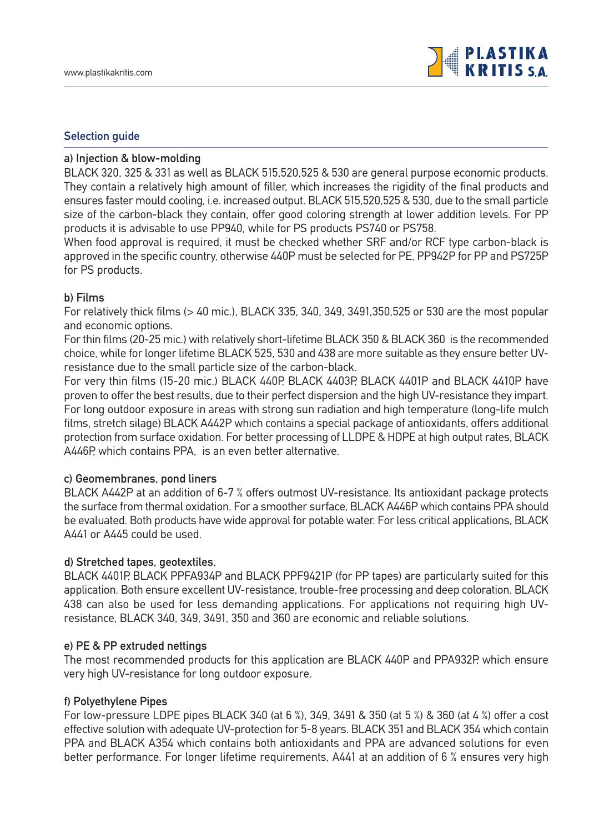#### **Selection guide**

#### **a) Injection & blow-molding**

BLACK 320, 325 & 331 as well as BLACK 515,520,525 & 530 are general purpose economic products. They contain a relatively high amount of filler, which increases the rigidity of the final products and ensures faster mould cooling, i.e. increased output. BLACK 515,520,525 & 530, due to the small particle size of the carbon-black they contain, offer good coloring strength at lower addition levels. For PP products it is advisable to use PP940, while for PS products PS740 or PS758.

When food approval is required, it must be checked whether SRF and/or RCF type carbon-black is approved in the specific country, otherwise 440P must be selected for PE, PP942P for PP and PS725P for PS products.

#### **b) Films**

For relatively thick films (> 40 mic.), BLACK 335, 340, 349, 3491,350,525 or 530 are the most popular and economic options.

For thin films (20-25 mic.) with relatively short-lifetime BLACK 350 & BLACK 360 is the recommended choice, while for longer lifetime BLACK 525, 530 and 438 are more suitable as they ensure better UVresistance due to the small particle size of the carbon-black.

For very thin films (15-20 mic.) BLACK 440P, BLACK 4403P, BLACK 4401P and BLACK 4410P have proven to offer the best results, due to their perfect dispersion and the high UV-resistance they impart. For long outdoor exposure in areas with strong sun radiation and high temperature (long-life mulch films, stretch silage) BLACK A442P which contains a special package of antioxidants, offers additional protection from surface oxidation. For better processing of LLDPE & HDPE at high output rates, BLACK A446P, which contains PPA, is an even better alternative.

#### **c) Geomembranes, pond liners**

BLACK A442P at an addition of 6-7 % offers outmost UV-resistance. Its antioxidant package protects the surface from thermal oxidation. For a smoother surface, BLACK A446P which contains PPA should be evaluated. Both products have wide approval for potable water. For less critical applications, BLACK A441 or A445 could be used.

#### **d) Stretched tapes, geotextiles,**

BLACK 4401P, BLACK PPFA934P and BLACK PPF9421P (for PP tapes) are particularly suited for this application. Both ensure excellent UV-resistance, trouble-free processing and deep coloration. BLACK 438 can also be used for less demanding applications. For applications not requiring high UVresistance, BLACK 340, 349, 3491, 350 and 360 are economic and reliable solutions.

#### **e) PE & PP extruded nettings**

The most recommended products for this application are BLACK 440P and PPA932P, which ensure very high UV-resistance for long outdoor exposure.

#### **f) Polyethylene Pipes**

For low-pressure LDPE pipes BLACK 340 (at 6 %), 349, 3491 & 350 (at 5 %) & 360 (at 4 %) offer a cost effective solution with adequate UV-protection for 5-8 years. BLACK 351 and BLACK 354 which contain PPA and BLACK A354 which contains both antioxidants and PPA are advanced solutions for even better performance. For longer lifetime requirements, A441 at an addition of 6 % ensures very high